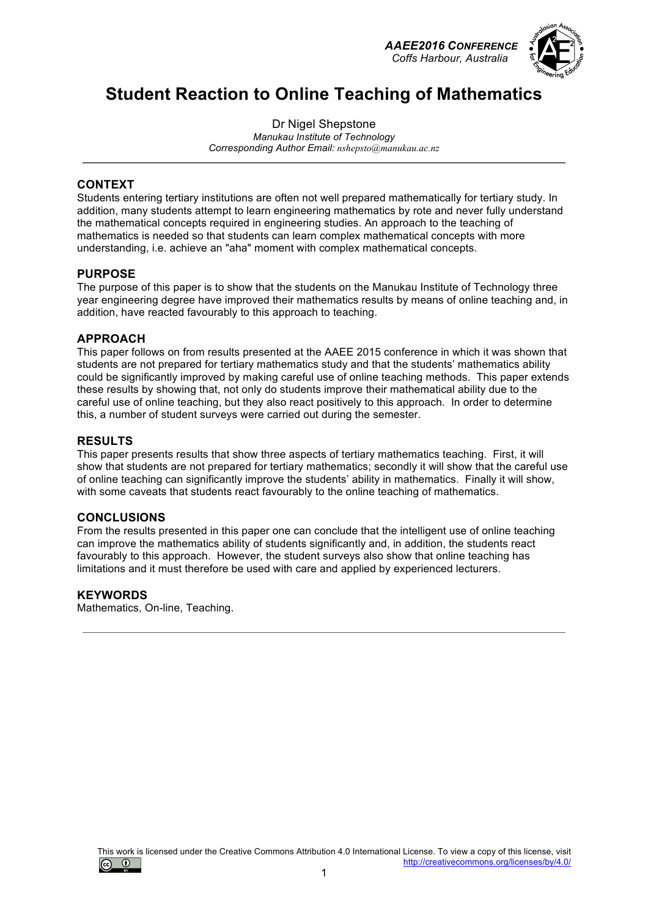*AAEE2016 CONFERENCE Coffs Harbour, Australia*



## **Student Reaction to Online Teaching of Mathematics**

Dr Nigel Shepstone *Manukau Institute of Technology Corresponding Author Email: nshepsto@manukau.ac.nz*

### **CONTEXT**

Students entering tertiary institutions are often not well prepared mathematically for tertiary study. In addition, many students attempt to learn engineering mathematics by rote and never fully understand the mathematical concepts required in engineering studies. An approach to the teaching of mathematics is needed so that students can learn complex mathematical concepts with more understanding, i.e. achieve an "aha" moment with complex mathematical concepts.

### **PURPOSE**

The purpose of this paper is to show that the students on the Manukau Institute of Technology three year engineering degree have improved their mathematics results by means of online teaching and, in addition, have reacted favourably to this approach to teaching.

#### **APPROACH**

This paper follows on from results presented at the AAEE 2015 conference in which it was shown that students are not prepared for tertiary mathematics study and that the students' mathematics ability could be significantly improved by making careful use of online teaching methods. This paper extends these results by showing that, not only do students improve their mathematical ability due to the careful use of online teaching, but they also react positively to this approach. In order to determine this, a number of student surveys were carried out during the semester.

#### **RESULTS**

This paper presents results that show three aspects of tertiary mathematics teaching. First, it will show that students are not prepared for tertiary mathematics; secondly it will show that the careful use of online teaching can significantly improve the students' ability in mathematics. Finally it will show, with some caveats that students react favourably to the online teaching of mathematics.

### **CONCLUSIONS**

From the results presented in this paper one can conclude that the intelligent use of online teaching can improve the mathematics ability of students significantly and, in addition, the students react favourably to this approach. However, the student surveys also show that online teaching has limitations and it must therefore be used with care and applied by experienced lecturers.

#### **KEYWORDS**

Mathematics, On-line, Teaching.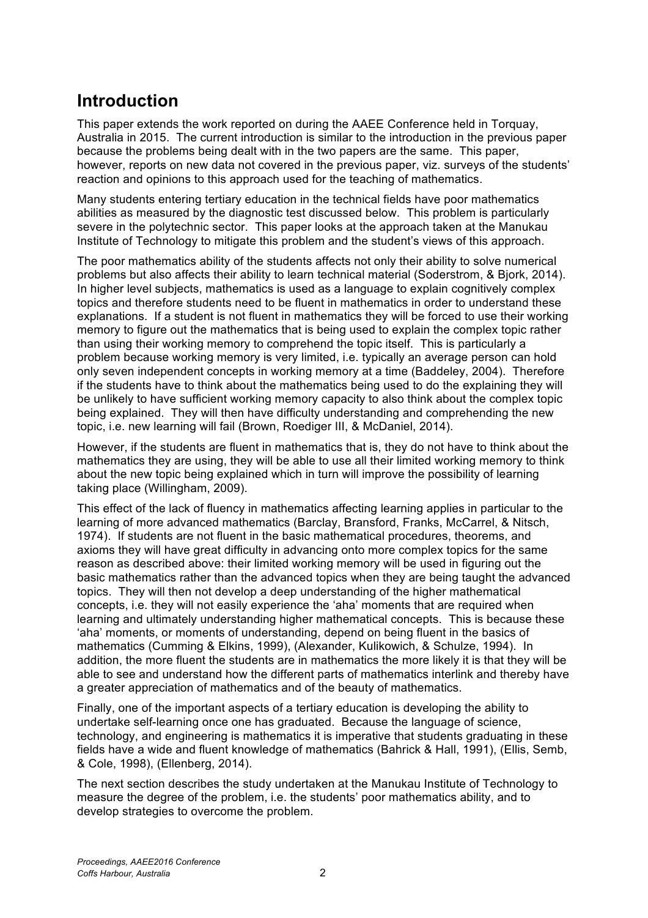## **Introduction**

This paper extends the work reported on during the AAEE Conference held in Torquay, Australia in 2015. The current introduction is similar to the introduction in the previous paper because the problems being dealt with in the two papers are the same. This paper, however, reports on new data not covered in the previous paper, viz. surveys of the students' reaction and opinions to this approach used for the teaching of mathematics.

Many students entering tertiary education in the technical fields have poor mathematics abilities as measured by the diagnostic test discussed below. This problem is particularly severe in the polytechnic sector. This paper looks at the approach taken at the Manukau Institute of Technology to mitigate this problem and the student's views of this approach.

The poor mathematics ability of the students affects not only their ability to solve numerical problems but also affects their ability to learn technical material (Soderstrom, & Bjork, 2014). In higher level subjects, mathematics is used as a language to explain cognitively complex topics and therefore students need to be fluent in mathematics in order to understand these explanations. If a student is not fluent in mathematics they will be forced to use their working memory to figure out the mathematics that is being used to explain the complex topic rather than using their working memory to comprehend the topic itself. This is particularly a problem because working memory is very limited, i.e. typically an average person can hold only seven independent concepts in working memory at a time (Baddeley, 2004). Therefore if the students have to think about the mathematics being used to do the explaining they will be unlikely to have sufficient working memory capacity to also think about the complex topic being explained. They will then have difficulty understanding and comprehending the new topic, i.e. new learning will fail (Brown, Roediger III, & McDaniel, 2014).

However, if the students are fluent in mathematics that is, they do not have to think about the mathematics they are using, they will be able to use all their limited working memory to think about the new topic being explained which in turn will improve the possibility of learning taking place (Willingham, 2009).

This effect of the lack of fluency in mathematics affecting learning applies in particular to the learning of more advanced mathematics (Barclay, Bransford, Franks, McCarrel, & Nitsch, 1974). If students are not fluent in the basic mathematical procedures, theorems, and axioms they will have great difficulty in advancing onto more complex topics for the same reason as described above: their limited working memory will be used in figuring out the basic mathematics rather than the advanced topics when they are being taught the advanced topics. They will then not develop a deep understanding of the higher mathematical concepts, i.e. they will not easily experience the 'aha' moments that are required when learning and ultimately understanding higher mathematical concepts. This is because these 'aha' moments, or moments of understanding, depend on being fluent in the basics of mathematics (Cumming & Elkins, 1999), (Alexander, Kulikowich, & Schulze, 1994). In addition, the more fluent the students are in mathematics the more likely it is that they will be able to see and understand how the different parts of mathematics interlink and thereby have a greater appreciation of mathematics and of the beauty of mathematics.

Finally, one of the important aspects of a tertiary education is developing the ability to undertake self-learning once one has graduated. Because the language of science, technology, and engineering is mathematics it is imperative that students graduating in these fields have a wide and fluent knowledge of mathematics (Bahrick & Hall, 1991), (Ellis, Semb, & Cole, 1998), (Ellenberg, 2014).

The next section describes the study undertaken at the Manukau Institute of Technology to measure the degree of the problem, i.e. the students' poor mathematics ability, and to develop strategies to overcome the problem.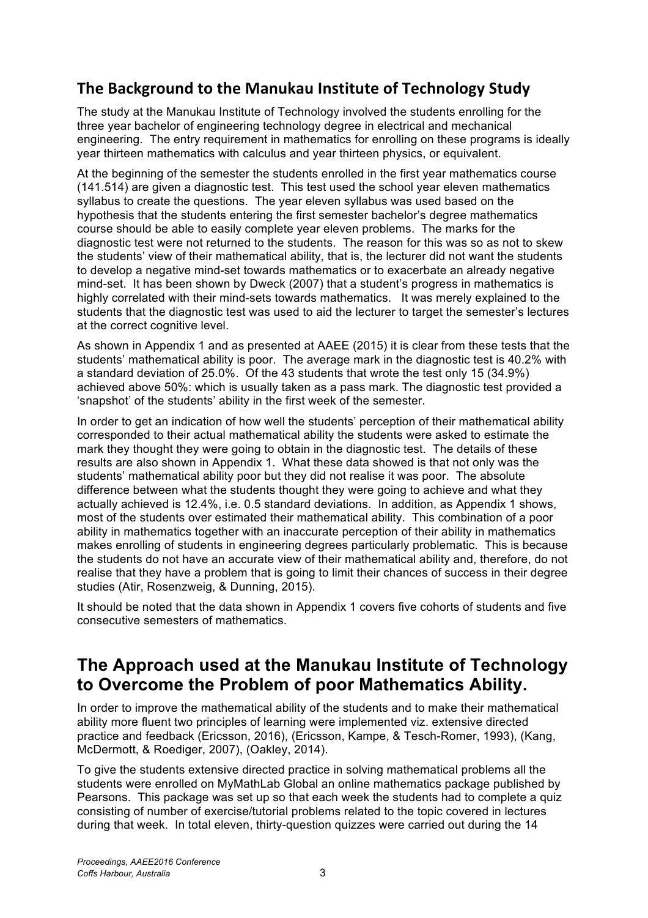### **The Background to the Manukau Institute of Technology Study**

The study at the Manukau Institute of Technology involved the students enrolling for the three year bachelor of engineering technology degree in electrical and mechanical engineering. The entry requirement in mathematics for enrolling on these programs is ideally year thirteen mathematics with calculus and year thirteen physics, or equivalent.

At the beginning of the semester the students enrolled in the first year mathematics course (141.514) are given a diagnostic test. This test used the school year eleven mathematics syllabus to create the questions. The year eleven syllabus was used based on the hypothesis that the students entering the first semester bachelor's degree mathematics course should be able to easily complete year eleven problems. The marks for the diagnostic test were not returned to the students. The reason for this was so as not to skew the students' view of their mathematical ability, that is, the lecturer did not want the students to develop a negative mind-set towards mathematics or to exacerbate an already negative mind-set. It has been shown by Dweck (2007) that a student's progress in mathematics is highly correlated with their mind-sets towards mathematics. It was merely explained to the students that the diagnostic test was used to aid the lecturer to target the semester's lectures at the correct cognitive level.

As shown in Appendix 1 and as presented at AAEE (2015) it is clear from these tests that the students' mathematical ability is poor. The average mark in the diagnostic test is 40.2% with a standard deviation of 25.0%. Of the 43 students that wrote the test only 15 (34.9%) achieved above 50%: which is usually taken as a pass mark. The diagnostic test provided a 'snapshot' of the students' ability in the first week of the semester.

In order to get an indication of how well the students' perception of their mathematical ability corresponded to their actual mathematical ability the students were asked to estimate the mark they thought they were going to obtain in the diagnostic test. The details of these results are also shown in Appendix 1. What these data showed is that not only was the students' mathematical ability poor but they did not realise it was poor. The absolute difference between what the students thought they were going to achieve and what they actually achieved is 12.4%, i.e. 0.5 standard deviations. In addition, as Appendix 1 shows, most of the students over estimated their mathematical ability. This combination of a poor ability in mathematics together with an inaccurate perception of their ability in mathematics makes enrolling of students in engineering degrees particularly problematic. This is because the students do not have an accurate view of their mathematical ability and, therefore, do not realise that they have a problem that is going to limit their chances of success in their degree studies (Atir, Rosenzweig, & Dunning, 2015).

It should be noted that the data shown in Appendix 1 covers five cohorts of students and five consecutive semesters of mathematics.

## **The Approach used at the Manukau Institute of Technology to Overcome the Problem of poor Mathematics Ability.**

In order to improve the mathematical ability of the students and to make their mathematical ability more fluent two principles of learning were implemented viz. extensive directed practice and feedback (Ericsson, 2016), (Ericsson, Kampe, & Tesch-Romer, 1993), (Kang, McDermott, & Roediger, 2007), (Oakley, 2014).

To give the students extensive directed practice in solving mathematical problems all the students were enrolled on MyMathLab Global an online mathematics package published by Pearsons. This package was set up so that each week the students had to complete a quiz consisting of number of exercise/tutorial problems related to the topic covered in lectures during that week. In total eleven, thirty-question quizzes were carried out during the 14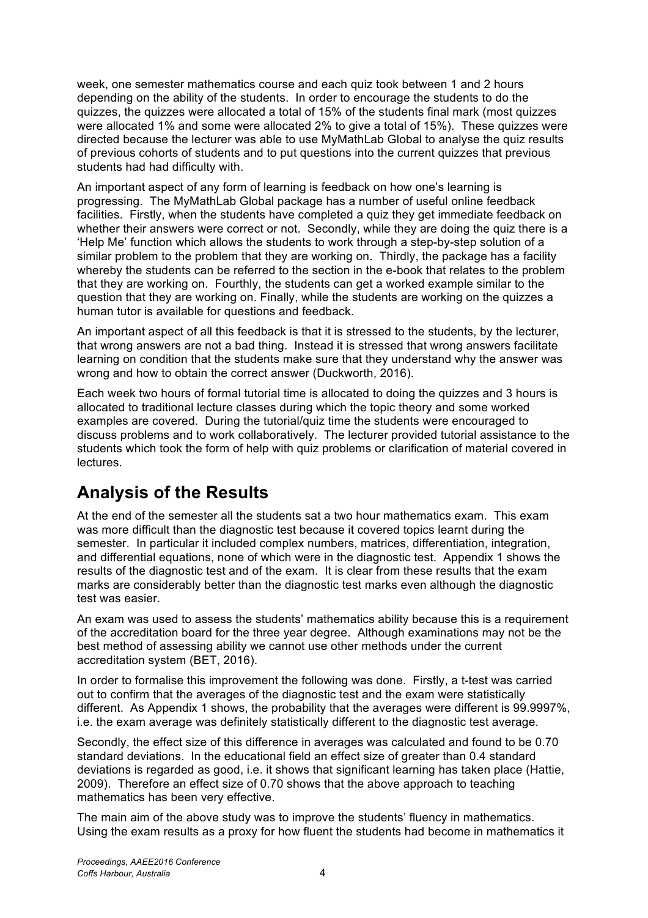week, one semester mathematics course and each quiz took between 1 and 2 hours depending on the ability of the students. In order to encourage the students to do the quizzes, the quizzes were allocated a total of 15% of the students final mark (most quizzes were allocated 1% and some were allocated 2% to give a total of 15%). These quizzes were directed because the lecturer was able to use MyMathLab Global to analyse the quiz results of previous cohorts of students and to put questions into the current quizzes that previous students had had difficulty with.

An important aspect of any form of learning is feedback on how one's learning is progressing. The MyMathLab Global package has a number of useful online feedback facilities. Firstly, when the students have completed a quiz they get immediate feedback on whether their answers were correct or not. Secondly, while they are doing the quiz there is a 'Help Me' function which allows the students to work through a step-by-step solution of a similar problem to the problem that they are working on. Thirdly, the package has a facility whereby the students can be referred to the section in the e-book that relates to the problem that they are working on. Fourthly, the students can get a worked example similar to the question that they are working on. Finally, while the students are working on the quizzes a human tutor is available for questions and feedback.

An important aspect of all this feedback is that it is stressed to the students, by the lecturer, that wrong answers are not a bad thing. Instead it is stressed that wrong answers facilitate learning on condition that the students make sure that they understand why the answer was wrong and how to obtain the correct answer (Duckworth, 2016).

Each week two hours of formal tutorial time is allocated to doing the quizzes and 3 hours is allocated to traditional lecture classes during which the topic theory and some worked examples are covered. During the tutorial/quiz time the students were encouraged to discuss problems and to work collaboratively. The lecturer provided tutorial assistance to the students which took the form of help with quiz problems or clarification of material covered in lectures.

# **Analysis of the Results**

At the end of the semester all the students sat a two hour mathematics exam. This exam was more difficult than the diagnostic test because it covered topics learnt during the semester. In particular it included complex numbers, matrices, differentiation, integration, and differential equations, none of which were in the diagnostic test. Appendix 1 shows the results of the diagnostic test and of the exam. It is clear from these results that the exam marks are considerably better than the diagnostic test marks even although the diagnostic test was easier.

An exam was used to assess the students' mathematics ability because this is a requirement of the accreditation board for the three year degree. Although examinations may not be the best method of assessing ability we cannot use other methods under the current accreditation system (BET, 2016).

In order to formalise this improvement the following was done. Firstly, a t-test was carried out to confirm that the averages of the diagnostic test and the exam were statistically different. As Appendix 1 shows, the probability that the averages were different is 99.9997%, i.e. the exam average was definitely statistically different to the diagnostic test average.

Secondly, the effect size of this difference in averages was calculated and found to be 0.70 standard deviations. In the educational field an effect size of greater than 0.4 standard deviations is regarded as good, i.e. it shows that significant learning has taken place (Hattie, 2009). Therefore an effect size of 0.70 shows that the above approach to teaching mathematics has been very effective.

The main aim of the above study was to improve the students' fluency in mathematics. Using the exam results as a proxy for how fluent the students had become in mathematics it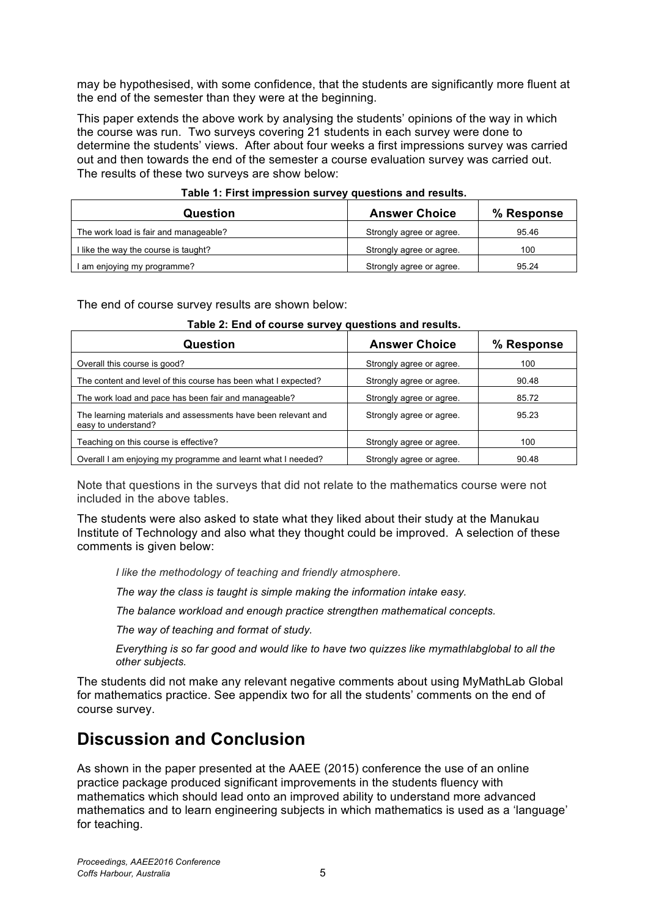may be hypothesised, with some confidence, that the students are significantly more fluent at the end of the semester than they were at the beginning.

This paper extends the above work by analysing the students' opinions of the way in which the course was run. Two surveys covering 21 students in each survey were done to determine the students' views. After about four weeks a first impressions survey was carried out and then towards the end of the semester a course evaluation survey was carried out. The results of these two surveys are show below:

| rable 1. First impression survey questions and results.<br>Question | <b>Answer Choice</b>     | % Response |
|---------------------------------------------------------------------|--------------------------|------------|
| The work load is fair and manageable?                               | Strongly agree or agree. | 95.46      |
| I like the way the course is taught?                                | Strongly agree or agree. | 100        |
| I am enjoying my programme?                                         | Strongly agree or agree. | 95.24      |

### **Table 1: First impression survey questions and results.**

The end of course survey results are shown below:

| Question                                                                             | <b>Answer Choice</b>     | % Response |  |  |
|--------------------------------------------------------------------------------------|--------------------------|------------|--|--|
| Overall this course is good?                                                         | Strongly agree or agree. | 100        |  |  |
| The content and level of this course has been what I expected?                       | Strongly agree or agree. | 90.48      |  |  |
| The work load and pace has been fair and manageable?                                 | Strongly agree or agree. | 85.72      |  |  |
| The learning materials and assessments have been relevant and<br>easy to understand? | Strongly agree or agree. | 95.23      |  |  |
| Teaching on this course is effective?                                                | Strongly agree or agree. | 100        |  |  |
| Overall I am enjoying my programme and learnt what I needed?                         | Strongly agree or agree. | 90.48      |  |  |

#### **Table 2: End of course survey questions and results.**

Note that questions in the surveys that did not relate to the mathematics course were not included in the above tables.

The students were also asked to state what they liked about their study at the Manukau Institute of Technology and also what they thought could be improved. A selection of these comments is given below:

*I like the methodology of teaching and friendly atmosphere.*

*The way the class is taught is simple making the information intake easy.*

*The balance workload and enough practice strengthen mathematical concepts.*

*The way of teaching and format of study.*

*Everything is so far good and would like to have two quizzes like mymathlabglobal to all the other subjects.*

The students did not make any relevant negative comments about using MyMathLab Global for mathematics practice. See appendix two for all the students' comments on the end of course survey.

## **Discussion and Conclusion**

As shown in the paper presented at the AAEE (2015) conference the use of an online practice package produced significant improvements in the students fluency with mathematics which should lead onto an improved ability to understand more advanced mathematics and to learn engineering subjects in which mathematics is used as a 'language' for teaching.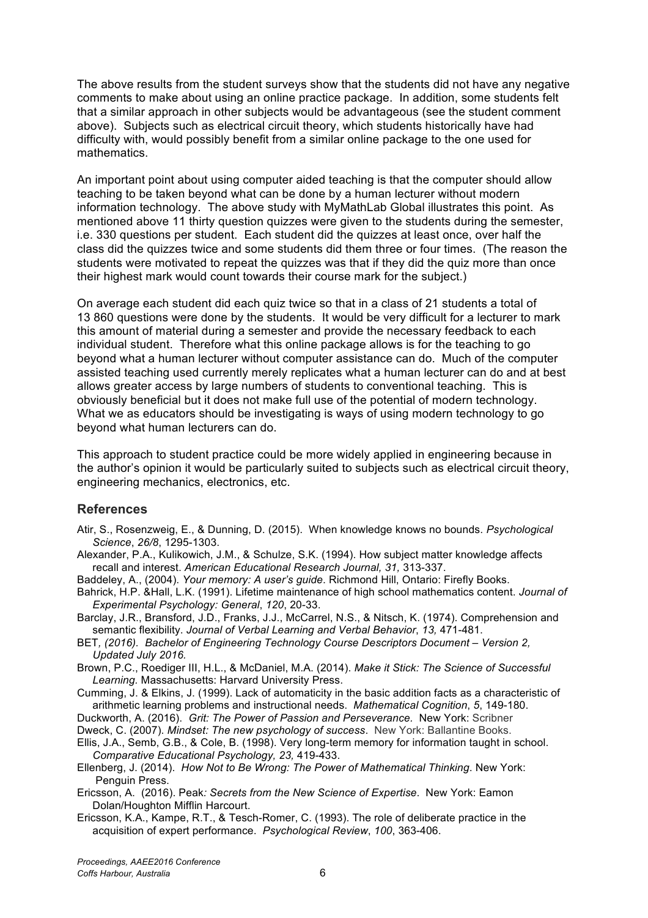The above results from the student surveys show that the students did not have any negative comments to make about using an online practice package. In addition, some students felt that a similar approach in other subjects would be advantageous (see the student comment above). Subjects such as electrical circuit theory, which students historically have had difficulty with, would possibly benefit from a similar online package to the one used for mathematics.

An important point about using computer aided teaching is that the computer should allow teaching to be taken beyond what can be done by a human lecturer without modern information technology. The above study with MyMathLab Global illustrates this point. As mentioned above 11 thirty question quizzes were given to the students during the semester, i.e. 330 questions per student. Each student did the quizzes at least once, over half the class did the quizzes twice and some students did them three or four times. (The reason the students were motivated to repeat the quizzes was that if they did the quiz more than once their highest mark would count towards their course mark for the subject.)

On average each student did each quiz twice so that in a class of 21 students a total of 13 860 questions were done by the students. It would be very difficult for a lecturer to mark this amount of material during a semester and provide the necessary feedback to each individual student. Therefore what this online package allows is for the teaching to go beyond what a human lecturer without computer assistance can do. Much of the computer assisted teaching used currently merely replicates what a human lecturer can do and at best allows greater access by large numbers of students to conventional teaching. This is obviously beneficial but it does not make full use of the potential of modern technology. What we as educators should be investigating is ways of using modern technology to go beyond what human lecturers can do.

This approach to student practice could be more widely applied in engineering because in the author's opinion it would be particularly suited to subjects such as electrical circuit theory, engineering mechanics, electronics, etc.

### **References**

- Atir, S., Rosenzweig, E., & Dunning, D. (2015). When knowledge knows no bounds. *Psychological Science*, *26/8*, 1295-1303.
- Alexander, P.A., Kulikowich, J.M., & Schulze, S.K. (1994). How subject matter knowledge affects recall and interest. *American Educational Research Journal, 31,* 313-337.
- Baddeley, A., (2004). *Your memory: A user's guide*. Richmond Hill, Ontario: Firefly Books.
- Bahrick, H.P. &Hall, L.K. (1991). Lifetime maintenance of high school mathematics content. *Journal of Experimental Psychology: General*, *120*, 20-33.
- Barclay, J.R., Bransford, J.D., Franks, J.J., McCarrel, N.S., & Nitsch, K. (1974). Comprehension and semantic flexibility. *Journal of Verbal Learning and Verbal Behavior*, *13,* 471-481.
- BET*, (2016). Bachelor of Engineering Technology Course Descriptors Document – Version 2, Updated July 2016.*
- Brown, P.C., Roediger III, H.L., & McDaniel, M.A. (2014). *Make it Stick: The Science of Successful Learning.* Massachusetts: Harvard University Press.

Cumming, J. & Elkins, J. (1999). Lack of automaticity in the basic addition facts as a characteristic of arithmetic learning problems and instructional needs. *Mathematical Cognition*, *5*, 149-180.

- Duckworth, A. (2016). *Grit: The Power of Passion and Perseverance.* New York: Scribner Dweck, C. (2007). *Mindset: The new psychology of success*. New York: Ballantine Books.
- Ellis, J.A., Semb, G.B., & Cole, B. (1998). Very long-term memory for information taught in school. *Comparative Educational Psychology, 23,* 419-433.
- Ellenberg, J. (2014). *How Not to Be Wrong: The Power of Mathematical Thinking*. New York: Penguin Press.
- Ericsson, A. (2016). Peak*: Secrets from the New Science of Expertise*. New York: Eamon Dolan/Houghton Mifflin Harcourt.
- Ericsson, K.A., Kampe, R.T., & Tesch-Romer, C. (1993). The role of deliberate practice in the acquisition of expert performance. *Psychological Review*, *100*, 363-406.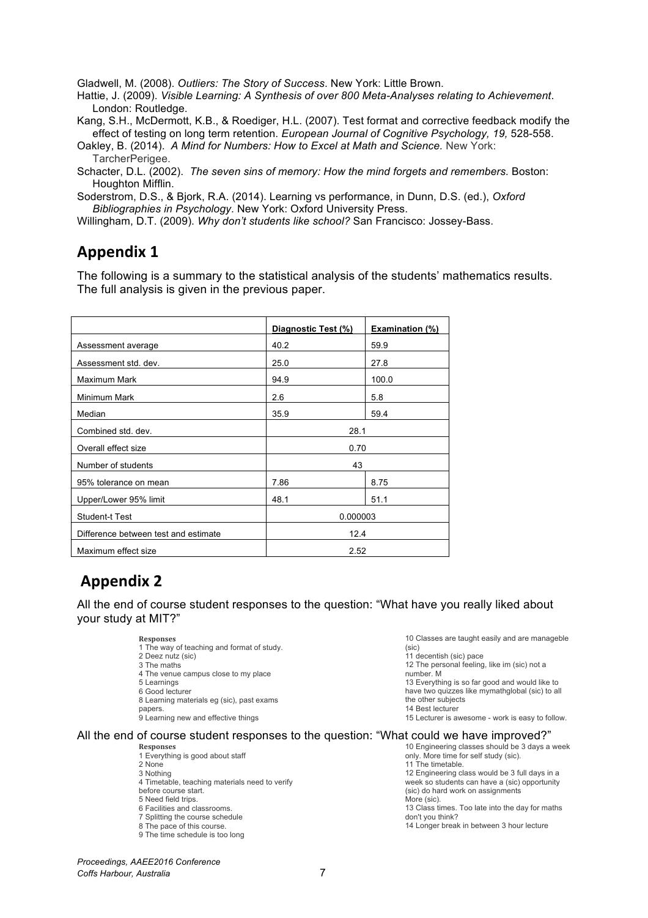Gladwell, M. (2008). *Outliers: The Story of Success*. New York: Little Brown.

Hattie, J. (2009). *Visible Learning: A Synthesis of over 800 Meta-Analyses relating to Achievement*. London: Routledge.

Kang, S.H., McDermott, K.B., & Roediger, H.L. (2007). Test format and corrective feedback modify the effect of testing on long term retention. *European Journal of Cognitive Psychology, 19,* 528-558.

Oakley, B. (2014). *A Mind for Numbers: How to Excel at Math and Science.* New York: TarcherPerigee.

Schacter, D.L. (2002). *The seven sins of memory: How the mind forgets and remembers.* Boston: Houghton Mifflin.

Soderstrom, D.S., & Bjork, R.A. (2014). Learning vs performance, in Dunn, D.S. (ed.), *Oxford Bibliographies in Psychology*. New York: Oxford University Press.

Willingham, D.T. (2009). *Why don't students like school?* San Francisco: Jossey-Bass.

### **Appendix 1**

The following is a summary to the statistical analysis of the students' mathematics results. The full analysis is given in the previous paper.

|                                      | Diagnostic Test (%) | <b>Examination (%)</b> |
|--------------------------------------|---------------------|------------------------|
| Assessment average                   | 40.2                | 59.9                   |
| Assessment std. dev.                 | 25.0                | 27.8                   |
| Maximum Mark                         | 94.9                | 100.0                  |
| Minimum Mark                         | 2.6                 | 5.8                    |
| Median                               | 35.9                | 59.4                   |
| Combined std. dev.                   | 28.1                |                        |
| Overall effect size                  | 0.70                |                        |
| Number of students                   | 43                  |                        |
| 95% tolerance on mean                | 7.86                | 8.75                   |
| Upper/Lower 95% limit                | 48.1                | 51.1                   |
| <b>Student-t Test</b>                | 0.000003            |                        |
| Difference between test and estimate | 12.4                |                        |
| Maximum effect size                  | 2.52                |                        |

### **Appendix 2**

All the end of course student responses to the question: "What have you really liked about your study at MIT?"

> **Responses**  1 The way of teaching and format of study. 2 Deez nutz (sic) 3 The maths 4 The venue campus close to my place 5 Learnings 6 Good lecturer 8 Learning materials eg (sic), past exams papers. 9 Learning new and effective things

10 Classes are taught easily and are manageble (sic)

11 decentish (sic) pace 12 The personal feeling, like im (sic) not a number. M 13 Everything is so far good and would like to have two quizzes like mymathglobal (sic) to all the other subjects 14 Best lecturer

15 Lecturer is awesome - work is easy to follow.

#### All the end of course student responses to the question: "What could we have improved?" 10 Engineering classes should be 3 days a week

**Responses** 

1 Everything is good about staff 2 None 3 Nothing 4 Timetable, teaching materials need to verify before course start. 5 Need field trips. 6 Facilities and classrooms.

7 Splitting the course schedule

- 8 The pace of this course.
- 9 The time schedule is too long

only. More time for self study (sic). 11 The timetable. 12 Engineering class would be 3 full days in a week so students can have a (sic) opportunity (sic) do hard work on assignments More (sic). 13 Class times. Too late into the day for maths don't you think? 14 Longer break in between 3 hour lecture